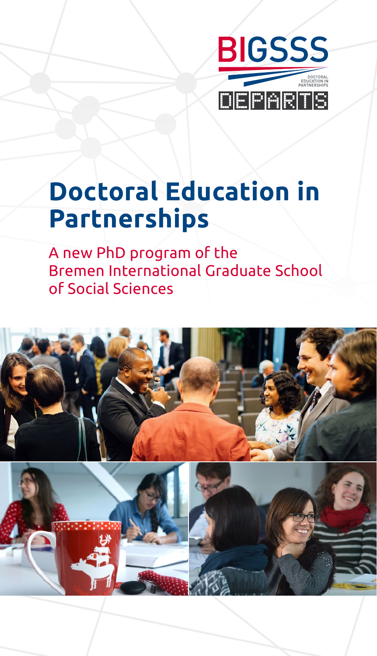

## **Doctoral Education in Partnerships**

A new PhD program of the Bremen International Graduate School of Social Sciences